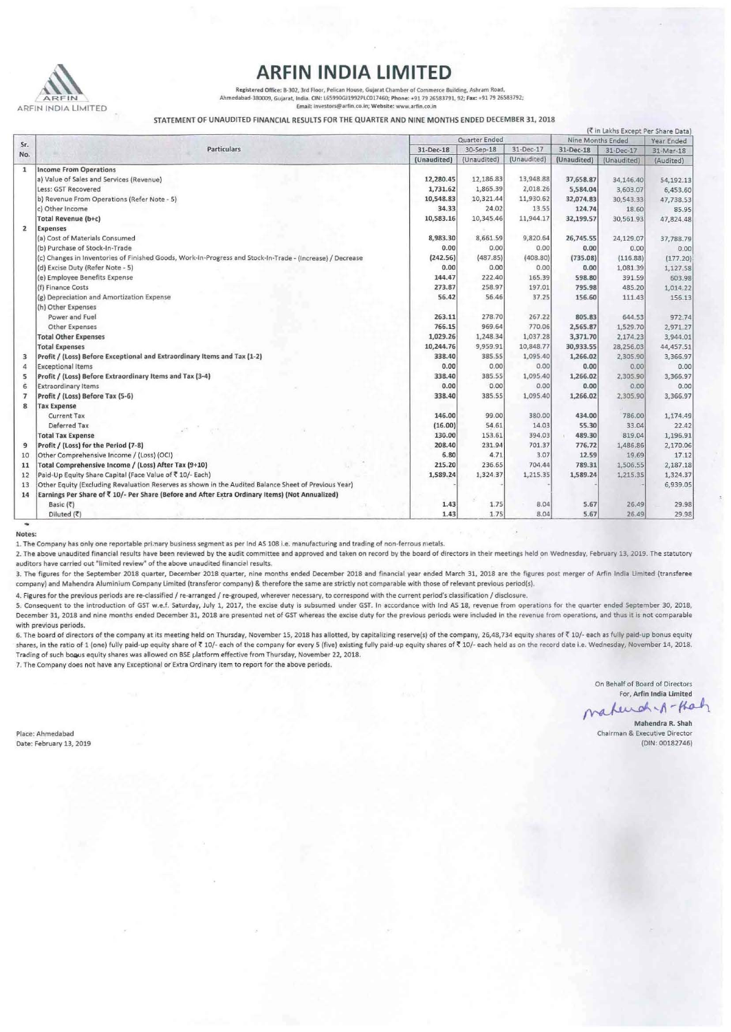

ARFIN INDIA LIMITED<br>Registered Office: B-302, 3rd Floor, Pelican House, Gujarat Chamber of Commerce Building, Ashram Road,<br>Ahmedabad-380009, Gujarat, India, CIN: 165990G11992PLC017460; Phone: +91 79 26583791, 92; Fax: +91 **Email! 'lnvestors,@li•rfin.co.in; Website: www.arfin.co.in** 

STATEMENT OF UNAUDITED FINANCIAL RESULTS FOR THE QUARTER AND NINE MONTHS ENDED DECEMBER 31, 2018

|                |                                                                                                           |               |             |             |                   |             | (₹ in Lakhs Except Per Share Data) |
|----------------|-----------------------------------------------------------------------------------------------------------|---------------|-------------|-------------|-------------------|-------------|------------------------------------|
| Sr.<br>No.     | <b>Particulars</b>                                                                                        | Quarter Ended |             |             | Nine Months Ended |             | Year Ended                         |
|                |                                                                                                           | 31-Dec-18     | 30-Sep-18   | 31-Dec-17   | 31-Dec-18         | 31-Dec-17   | 31-Mar-18                          |
|                |                                                                                                           | (Unaudited)   | (Unaudited) | (Unaudited) | (Unaudited)       | (Unaudited) | (Audited)                          |
| $\mathbf{1}$   | <b>Income From Operations</b>                                                                             |               |             |             |                   |             |                                    |
|                | a) Value of Sales and Services (Revenue)                                                                  | 12,280.45     | 12,186.83   | 13,948.88   | 37,658.87         | 34,146.40   | 54,192.13                          |
|                | Less: GST Recovered                                                                                       | 1,731.62      | 1,865.39    | 2,018.26    | 5,584.04          | 3,603.07    | 6,453.60                           |
|                | b) Revenue From Operations (Refer Note - 5)                                                               | 10,548.83     | 10,321.44   | 11,930.62   | 32,074.83         | 30,543.33   | 47,738.53                          |
|                | c) Other Income                                                                                           | 34.33         | 24.02       | 13.55       | 124.74            | 18.60       | 85.95                              |
|                | Total Revenue (b+c)                                                                                       | 10,583.16     | 10,345.46   | 11,944.17   | 32,199.57         | 30,561.93   | 47,824.48                          |
| $\overline{2}$ | <b>Expenses</b>                                                                                           |               |             |             |                   |             |                                    |
|                | (a) Cost of Materials Consumed                                                                            | 8,983.30      | 8,661.59    | 9,820.64    | 26,745.55         | 24,129.07   | 37,788.79                          |
|                | (b) Purchase of Stock-In-Trade                                                                            | 0.00          | 0.00        | 0.00        | 0.00              | 0.00        | 0.00                               |
|                | (c) Changes in Inventories of Finished Goods, Work-In-Progress and Stock-In-Trade - (Increase) / Decrease | (242.56)      | (487.85)    | (408.80)    | (735.08)          | (116.88)    | (177.20)                           |
|                | (d) Excise Duty (Refer Note - 5)                                                                          | 0.00          | 0.00        | 0.00        | 0.00              | 1,081.39    | 1,127.58                           |
|                | (e) Employee Benefits Expense                                                                             | 144.47        | 222.40      | 165.39      | 598.80            | 391.59      | 603.98                             |
|                | (f) Finance Costs                                                                                         | 273.87        | 258.97      | 197.01      | 795.98            | 485.20      | 1,014.22                           |
|                | (g) Depreciation and Amortization Expense                                                                 | 56.42         | 56.46       | 37.25       | 156.60            | 111.43      | 156.13                             |
|                | (h) Other Expenses                                                                                        |               |             |             |                   |             |                                    |
|                | Power and Fuel                                                                                            | 263.11        | 278.70      | 267.22      | 805.83            | 644.53      | 972.74                             |
|                | <b>Other Expenses</b>                                                                                     | 766.15        | 969.64      | 770.06      | 2,565.87          | 1,529.70    | 2,971.27                           |
|                | <b>Total Other Expenses</b>                                                                               | 1,029.26      | 1,248.34    | 1,037.28    | 3,371.70          | 2,174.23    | 3,944.01                           |
|                | <b>Total Expenses</b>                                                                                     | 10,244.76     | 9,959.91    | 10,848.77   | 30,933.55         | 28,256.03   | 44,457.51                          |
| 3              | Profit / (Loss) Before Exceptional and Extraordinary Items and Tax (1-2)                                  | 338.40        | 385.55      | 1,095.40    | 1,266.02          | 2,305.90    | 3,366.97                           |
| 4              | <b>Exceptional Items</b>                                                                                  | 0.00          | 0.00        | 0.00        | 0.00              | 0.00        | 0.00                               |
| 5              | Profit / (Loss) Before Extraordinary Items and Tax (3-4)                                                  | 338.40        | 385.55      | 1,095.40    | 1,266.02          | 2,305.90    | 3,366.97                           |
| 6              | Extraordinary Items                                                                                       | 0.00          | 0.00        | 0.00        | 0.00              | 0.00        | 0.00                               |
| $\overline{7}$ | Profit / (Loss) Before Tax (5-6)                                                                          | 338.40        | 385.55      | 1,095.40    | 1,266.02          | 2,305.90    | 3,366.97                           |
| 8              | <b>Tax Expense</b>                                                                                        |               |             |             |                   |             |                                    |
|                | <b>Current Tax</b>                                                                                        | 146.00        | 99.00       | 380.00      | 434.00            | 786.00      | 1,174.49                           |
|                | Deferred Tax                                                                                              | (16.00)       | 54.61       | 14.03       | 55.30             | 33.04       | 22.42                              |
|                | <b>Total Tax Expense</b>                                                                                  | 130.00        | 153.61      | 394.03      | 489.30            | 819.04      | 1,196.91                           |
| 9              | Profit / (Loss) for the Period (7-8)                                                                      | 208.40        | 231.94      | 701.37      | 776.72            | 1,486.86    | 2,170.06                           |
| 10             | Other Comprehensive Income / (Loss) (OCI)                                                                 | 6.80          | 4.71        | 3.07        | 12.59             | 19.69       | 17.12                              |
| 11             | Total Comprehensive Income / (Loss) After Tax (9+10)                                                      | 215.20        | 236.65      | 704.44      | 789.31            | 1,506.55    | 2,187.18                           |
| 12             | Paid-Up Equity Share Capital (Face Value of ₹ 10/- Each)                                                  | 1,589.24      | 1,324.37    | 1,215.35    | 1,589.24          | 1,215.35    | 1,324.37                           |
| 13             | Other Equity (Excluding Revaluation Reserves as shown in the Audited Balance Sheet of Previous Year)      |               |             |             |                   |             | 6,939.05                           |
| 14             | Earnings Per Share of ₹ 10/- Per Share (Before and After Extra Ordinary Items) (Not Annualized)           |               |             |             |                   |             |                                    |
|                | Basic $(3)$                                                                                               | 1.43          | 1.75        | 8.04        | 5.67              | 26.49       | 29.98                              |
|                | Diluted (₹)                                                                                               | 1.43          | 1.75        | 8.04        | 5.67              | 26.49       | 29.98                              |

**Notes:** 

**1. The Company has only one reportable prl.nary business segment as per lnd AS 108 i.e. manufacturing and trading of non· ferrous metals.** 

2. The above unaudited financial results have been reviewed by the audit committee and approved and taken on record by the board of directors in their meetings held on Wednesday, February 13, 2019. The statutory auditors have carried out "limited review" of the above unaudited financial results.

3. The figures for the September 2018 quarter, December 2018 quarter, nine months ended December 2018 and financial year ended March 31, 2018 are the figures post merger of Arfin India Limited (transferee company) and Mahendra Aluminium Company Limited (transferor company) & therefore the same are strictly not comparable with those of relevant previous period(s).

4. Figures for the previous periods are re-classified / re-arranged / re-grouped, wherever necessary, to correspond with the current period's classification / disclosure.

5. Consequent to the introduction of GST w.e.f. Saturday, July 1, 2017, the excise duty is subsumed under GST. In accordance with Ind AS 18, revenue from operations for the quarter ended September 30, 2018, December 31, 2018 and nine months ended December 31, 2018 are presented net of GST whereas the excise duty for the previous periods were included in the revenue from operations, and thus it is not comparable **with previous periods.** 

6. The board of directors of the company at its meeting held on Thursday, November 15, 2018 has allotted, by capitalizing reserve(s) of the company, 26,48,734 equity shares of ₹ 10/- each as fully paid-up bonus equity shares, in the ratio of 1 (one) fully paid-up equity share of ₹ 10/- each of the company for every 5 (five) existing fully paid-up equity shares of ₹ 10/- each held as on the record date i.e. Wednesday, November 14, 2018. Trading of such bogus equity shares was allowed on BSE platform effective from Thursday, November 22, 2018. 7. The Company does not have any Exceptional or Extra Ordinary item to report for the above periods.

**On Behalf of Board of Directors** 

**For, Arfln India Umited**  mateuch-1-Kah

**Mahendra R. Shah Chairman & Executive Director** 

(DIN: 00182746)

**Place: Ahmedabad**  Date: February 13, 2019